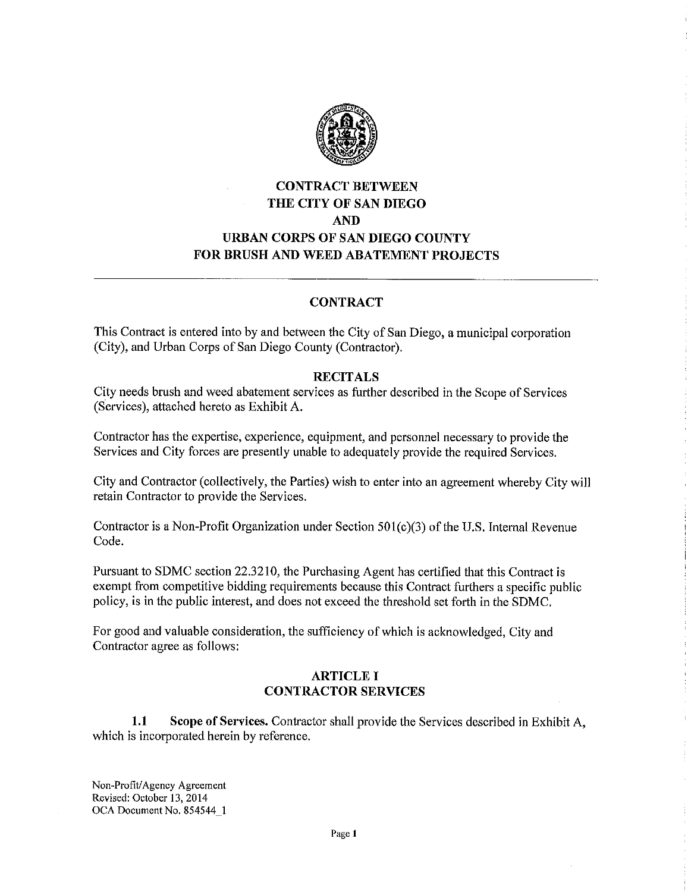

# **CONTRACT BETWEEN THE CITY OF SAN DIEGO AND URBAN CORPS OF SAN DIEGO COUNTY FOR BRUSH AND WEED ABATEMENT PROJECTS**

## **CONTRACT**

This Contract is entered into by and between the City of San Diego, a municipal corporation (City), and Urban Corps of San Diego County (Contractor).

#### **RECITALS**

City needs brush and weed abatement services as further described in the Scope of Services (Services), attached hereto as Exhibit A.

Contractor has the expertise, experience, equipment, and personnel necessary to provide the Services and City forces are presently unable to adequately provide the required Services.

City and Contractor (collectively, the Parties) wish to enter into an agreement whereby City will retain Contractor to provide the Services.

Contractor is a Non-Profit Organization under Section 50l(c)(3) of the U.S. Internal Revenue Code.

Pursuant to SDMC section 22.3210, the Purchasing Agent has certified that this Contract is exempt from competitive bidding requirements because this Contract furthers a specific public policy, is in the public interest, and does not exceed the threshold set forth in the SDMC.

For good and valuable consideration, the sufficiency of which is acknowledged, City and Contractor agree as follows:

## **ARTICLE I CONTRACTOR SERVICES**

**1.1 Scope of Services.** Contractor shall provide the Services described in Exhibit A, which is incorporated herein by reference.

Non-Profit/ Agency Agreement Revised: October 13, 2014 OCA Document No. 854544\_1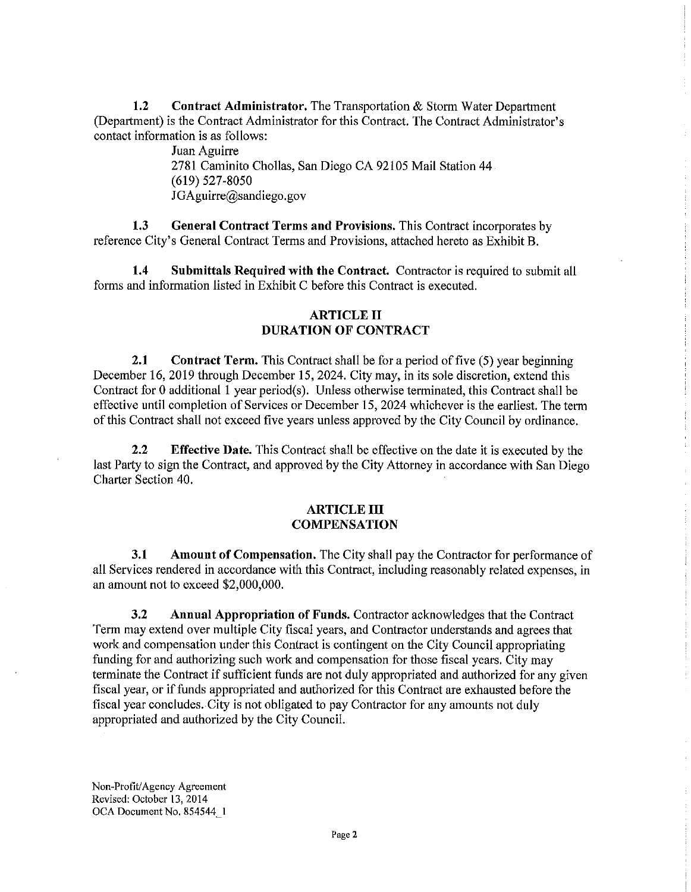**1.2 Contract Administrator.** The Transportation & Storm Water Department (Department) is the Contract Administrator for this Contract. The Contract Administrator's contact information is as follows:

> Juan Aguirre 2781 Caminito Chollas, San Diego CA 92105 Mail Station 44 (619) 527-8050 JGAguirre@sandiego.gov

**1.3 General Contract Terms and Provisions.** This Contract incorporates by reference City's General Contract Terms and Provisions, attached hereto as Exhibit B.

**1.4 Submittals Required with the Contract.** Contractor is required to submit all forms and information listed in Exhibit C before this Contract is executed.

## **ARTICLE II DURATION OF CONTRACT**

**2.1 Contract Term.** This Contract shall be for a period of five (5) year beginning December 16, 2019 through December 15, 2024. City may, in its sole discretion, extend this Contract for 0 additional 1 year period(s). Unless otherwise terminated, this Contract shall be effective until completion of Services or December 15, 2024 whichever is the earliest. The term of this Contract shall not exceed five years unless approved by the City Council by ordinance.

**2.2 Effective Date.** This Contract shall be effective on the date it is executed by the last Party to sign the Contract, and approved by the City Attorney in accordance with San Diego Charter Section 40.

#### **ARTICLE III COMPENSATION**

**3.1 Amount of Compensation.** The City shall pay the Contractor for performance of all Services rendered in accordance with this Contract, including reasonably related expenses, in an amount not to exceed \$2,000,000.

**3.2 Annual Appropriation of Funds.** Contractor acknowledges that the Contract Term may extend over multiple City fiscal years, and Contractor understands and agrees that work and compensation under this Contract is contingent on the City Council appropriating funding for and authorizing such work and compensation for those fiscal years. City may terminate the Contract if sufficient funds are not duly appropriated and authorized for any given fiscal year, or if funds appropriated and authorized for this Contract are exhausted before the fiscal year concludes. City is not obligated to pay Contractor for any amounts not duly appropriated and authorized by the City Council.

Non-Profit/ Agency Agreement Revised: October 13, 2014 OCA Document No. 854544\_ I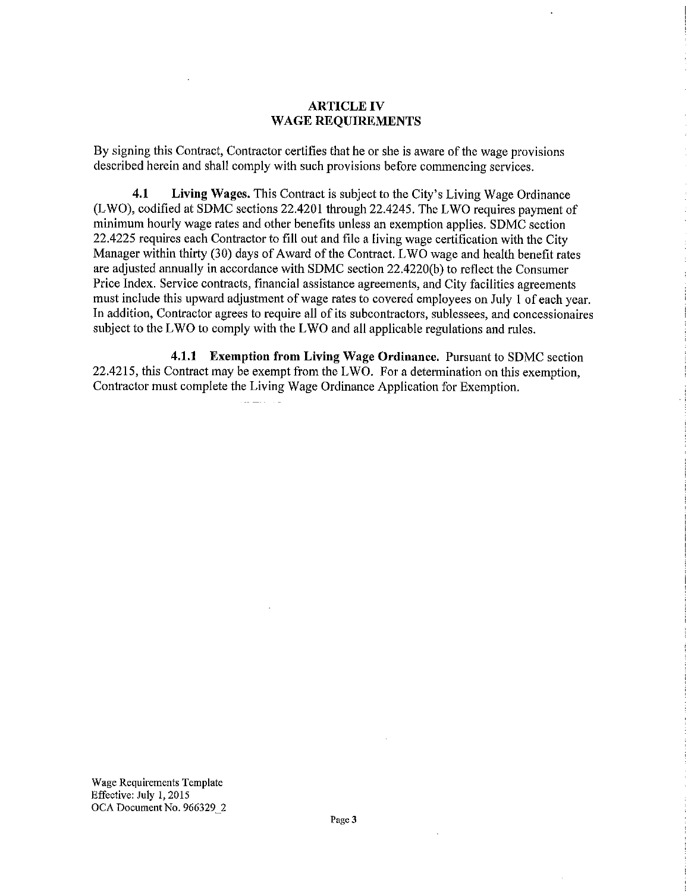#### **ARTICLE IV WAGE REQUIREMENTS**

By signing this Contract, Contractor certifies that he or she is aware of the wage provisions described herein and shall comply with such provisions before commencing services.

**4.1 Living Wages.** This Contract is subject to the City's Living Wage Ordinance (LWO), codified at SDMC sections 22.4201 through 22.4245. The LWO requires payment of minimum hourly wage rates and other benefits unless an exemption applies. SDMC section 22.4225 requires each Contractor to fill out and file a living wage certification with the City Manager within thirty (30) days of Award of the Contract. L WO wage and health benefit rates are adjusted annually in accordance with SDMC section 22.4220(b) to reflect the Consumer Price Index. Service contracts, financial assistance agreements, and City facilities agreements must include this upward adjustment of wage rates to covered employees on July I of each year. In addition, Contractor agrees to require all of its subcontractors, sublessees, and concessionaires subject to the **L** WO to comply with the **L** WO and all applicable regulations and rules.

**4.1.1 Exemption from Living Wage Ordinance.** Pursuant to SDMC section 22.4215, this Contract may be exempt from the LWO. For a determination on this exemption, Contractor must complete the Living Wage Ordinance Application for Exemption.

all Latin and

Wage Requirements Template Effective: July 1, 2015 OCA Document No. 966329\_2